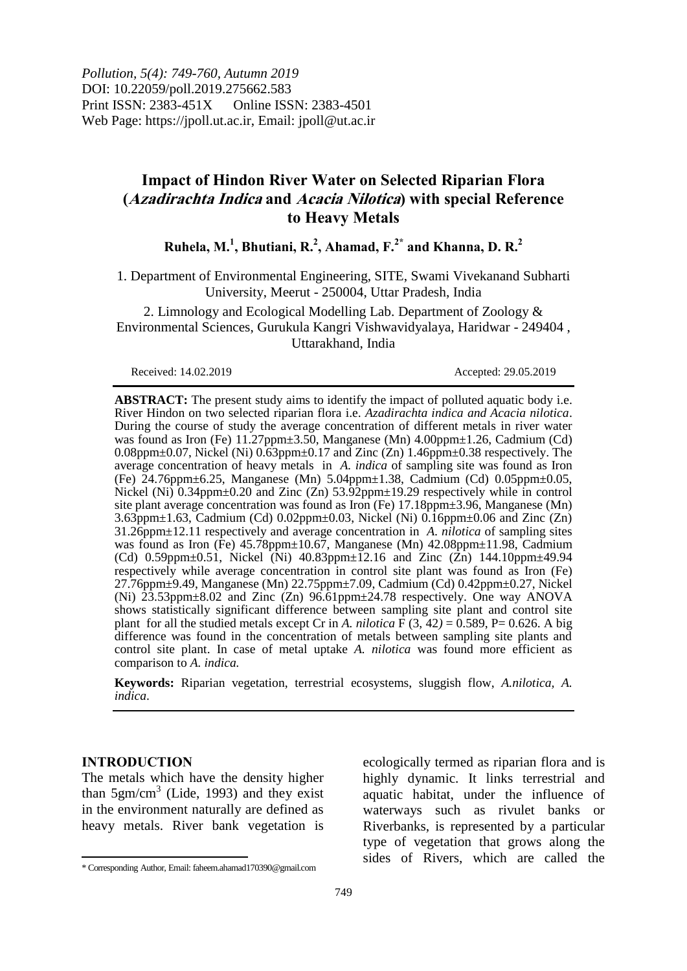*Pollution, 5(4): 749-760, Autumn 2019* DOI: 10.22059/poll.2019.275662.583 Print ISSN: 2383-451X Online ISSN: 2383-4501 Web Page: https://jpoll.ut.ac.ir, Email: jpoll@ut.ac.ir

# **Impact of Hindon River Water on Selected Riparian Flora (Azadirachta Indica and Acacia Nilotica) with special Reference to Heavy Metals**

**Ruhela, M. 1 , Bhutiani, R. 2 , Ahamad, F. 2\* and Khanna, D. R. 2**

1. Department of Environmental Engineering, SITE, Swami Vivekanand Subharti University, Meerut - 250004, Uttar Pradesh, India

2. Limnology and Ecological Modelling Lab. Department of Zoology & Environmental Sciences, Gurukula Kangri Vishwavidyalaya, Haridwar - 249404 , Uttarakhand, India

Received: 14.02.2019 Accepted: 29.05.2019

**ABSTRACT:** The present study aims to identify the impact of polluted aquatic body i.e. River Hindon on two selected riparian flora i.e. *Azadirachta indica and Acacia nilotica*. During the course of study the average concentration of different metals in river water was found as Iron (Fe) 11.27ppm±3.50, Manganese (Mn) 4.00ppm±1.26, Cadmium (Cd)  $0.08$ ppm $\pm 0.07$ , Nickel (Ni)  $0.63$ ppm $\pm 0.17$  and Zinc (Zn)  $1.46$ ppm $\pm 0.38$  respectively. The average concentration of heavy metals in *A. indica* of sampling site was found as Iron (Fe) 24.76ppm±6.25, Manganese (Mn) 5.04ppm±1.38, Cadmium (Cd) 0.05ppm±0.05, Nickel (Ni) 0.34ppm±0.20 and Zinc (Zn) 53.92ppm±19.29 respectively while in control site plant average concentration was found as Iron (Fe) 17.18ppm±3.96, Manganese (Mn) 3.63ppm±1.63, Cadmium (Cd) 0.02ppm±0.03, Nickel (Ni) 0.16ppm±0.06 and Zinc (Zn) 31.26ppm±12.11 respectively and average concentration in *A. nilotica* of sampling sites was found as Iron (Fe) 45.78ppm±10.67, Manganese (Mn) 42.08ppm±11.98, Cadmium (Cd) 0.59ppm $\pm$ 0.51, Nickel (Ni) 40.83ppm $\pm$ 12.16 and Zinc (Zn) 144.10ppm $\pm$ 49.94 respectively while average concentration in control site plant was found as Iron (Fe) 27.76ppm±9.49, Manganese (Mn) 22.75ppm±7.09, Cadmium (Cd) 0.42ppm±0.27, Nickel (Ni) 23.53ppm±8.02 and Zinc (Zn) 96.61ppm±24.78 respectively. One way ANOVA shows statistically significant difference between sampling site plant and control site plant for all the studied metals except Cr in *A. nilotica*  $\vec{F}$  (3, 42) = 0.589, P= 0.626. A big difference was found in the concentration of metals between sampling site plants and control site plant. In case of metal uptake *A. nilotica* was found more efficient as comparison to *A. indica.*

**Keywords:** Riparian vegetation, terrestrial ecosystems, sluggish flow, *A.nilotica, A. indica*.

#### **INTRODUCTION**

The metals which have the density higher than  $5gm/cm<sup>3</sup>$  (Lide, 1993) and they exist in the environment naturally are defined as heavy metals. River bank vegetation is

ecologically termed as riparian flora and is highly dynamic. It links terrestrial and aquatic habitat, under the influence of waterways such as rivulet banks or Riverbanks, is represented by a particular type of vegetation that grows along the sides of Rivers, which are called the

l \* Corresponding Author, Email: faheem.ahamad170390@gmail.com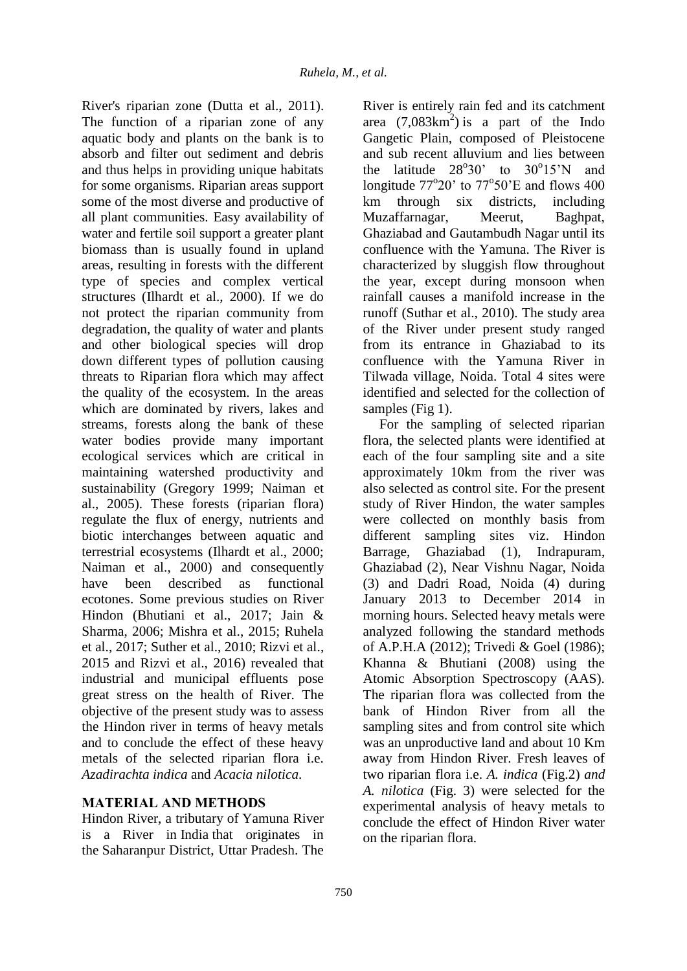River's riparian zone (Dutta et al., 2011). The function of a riparian zone of any aquatic body and plants on the bank is to absorb and filter out sediment and debris and thus helps in providing unique habitats for some organisms. Riparian areas support some of the most diverse and productive of all plant communities. Easy availability of water and fertile soil support a greater plant biomass than is usually found in upland areas, resulting in forests with the different type of species and complex vertical structures (Ilhardt et al., 2000). If we do not protect the riparian community from degradation, the quality of water and plants and other biological species will drop down different types of pollution causing threats to Riparian flora which may affect the quality of the ecosystem. In the areas which are dominated by rivers, lakes and streams, forests along the bank of these water bodies provide many important ecological services which are critical in maintaining watershed productivity and sustainability (Gregory 1999; Naiman et al., 2005). These forests (riparian flora) regulate the flux of energy, nutrients and biotic interchanges between aquatic and terrestrial ecosystems (Ilhardt et al., 2000; Naiman et al., 2000) and consequently have been described as functional ecotones. Some previous studies on River Hindon (Bhutiani et al., 2017; Jain & Sharma, 2006; Mishra et al., 2015; Ruhela et al., 2017; Suther et al., 2010; Rizvi et al., 2015 and Rizvi et al., 2016) revealed that industrial and municipal effluents pose great stress on the health of River. The objective of the present study was to assess the Hindon river in terms of heavy metals and to conclude the effect of these heavy metals of the selected riparian flora i.e. *Azadirachta indica* and *Acacia nilotica*.

## **MATERIAL AND METHODS**

Hindon River, a tributary of Yamuna River is a River in India that originates in the Saharanpur District, Uttar Pradesh. The River is entirely rain fed and its catchment area  $(7,083km^2)$  is a part of the Indo Gangetic Plain, composed of Pleistocene and sub recent alluvium and lies between the latitude  $28^{\circ}30'$  to  $30^{\circ}15'N$  and longitude  $77^{\circ}20'$  to  $77^{\circ}50'E$  and flows 400 km through six districts, including Muzaffarnagar, Meerut, Baghpat, Ghaziabad and Gautambudh Nagar until its confluence with the Yamuna. The River is characterized by sluggish flow throughout the year, except during monsoon when rainfall causes a manifold increase in the runoff (Suthar et al., 2010). The study area of the River under present study ranged from its entrance in Ghaziabad to its confluence with the Yamuna River in Tilwada village, Noida. Total 4 sites were identified and selected for the collection of samples (Fig 1).

For the sampling of selected riparian flora, the selected plants were identified at each of the four sampling site and a site approximately 10km from the river was also selected as control site. For the present study of River Hindon, the water samples were collected on monthly basis from different sampling sites viz. Hindon Barrage, Ghaziabad (1), Indrapuram, Ghaziabad (2), Near Vishnu Nagar, Noida (3) and Dadri Road, Noida (4) during January 2013 to December 2014 in morning hours. Selected heavy metals were analyzed following the standard methods of A.P.H.A (2012); Trivedi & Goel (1986); Khanna & Bhutiani (2008) using the Atomic Absorption Spectroscopy (AAS). The riparian flora was collected from the bank of Hindon River from all the sampling sites and from control site which was an unproductive land and about 10 Km away from Hindon River. Fresh leaves of two riparian flora i.e. *A. indica* (Fig.2) *and A. nilotica* (Fig. 3) were selected for the experimental analysis of heavy metals to conclude the effect of Hindon River water on the riparian flora.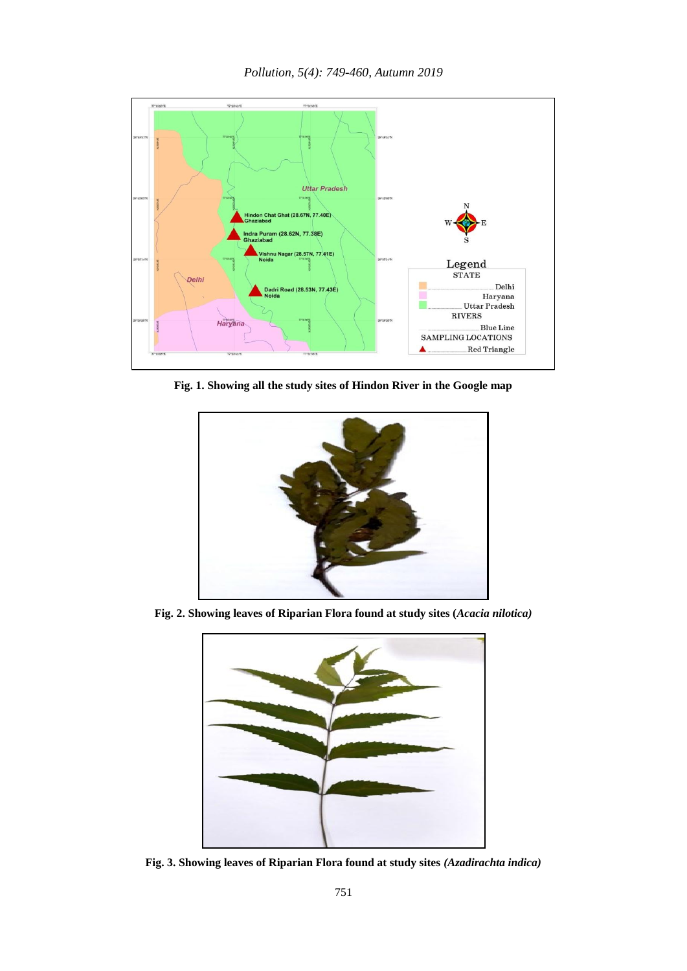

**Fig. 1. Showing all the study sites of Hindon River in the Google map**



**Fig. 2. Showing leaves of Riparian Flora found at study sites (***Acacia nilotica)*



**Fig. 3. Showing leaves of Riparian Flora found at study sites** *(Azadirachta indica)*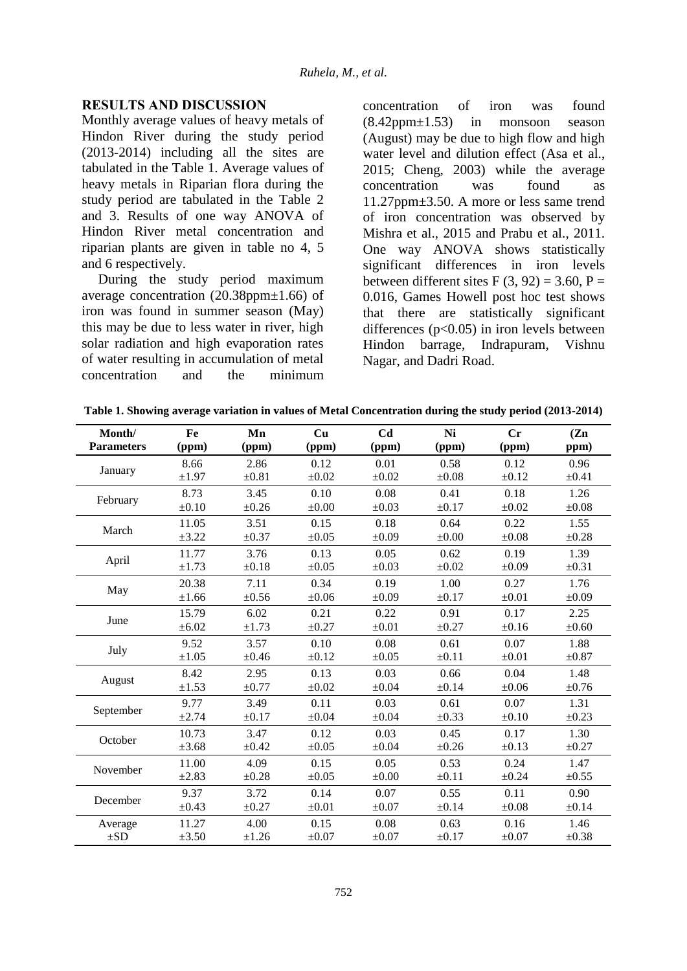### **RESULTS AND DISCUSSION**

Monthly average values of heavy metals of Hindon River during the study period (2013-2014) including all the sites are tabulated in the Table 1. Average values of heavy metals in Riparian flora during the study period are tabulated in the Table 2 and 3. Results of one way ANOVA of Hindon River metal concentration and riparian plants are given in table no 4, 5 and 6 respectively.

During the study period maximum average concentration (20.38ppm±1.66) of iron was found in summer season (May) this may be due to less water in river, high solar radiation and high evaporation rates of water resulting in accumulation of metal concentration and the minimum concentration of iron was found (8.42ppm±1.53) in monsoon season (August) may be due to high flow and high water level and dilution effect (Asa et al., 2015; Cheng, 2003) while the average concentration was found as 11.27ppm±3.50. A more or less same trend of iron concentration was observed by Mishra et al., 2015 and Prabu et al., 2011. One way ANOVA shows statistically significant differences in iron levels between different sites F  $(3, 92) = 3.60$ , P = 0.016, Games Howell post hoc test shows that there are statistically significant differences  $(p<0.05)$  in iron levels between Hindon barrage, Indrapuram, Vishnu Nagar, and Dadri Road.

|  |  | Table 1. Showing average variation in values of Metal Concentration during the study period (2013-2014) |
|--|--|---------------------------------------------------------------------------------------------------------|
|  |  |                                                                                                         |

| Month/            | Fe         | Mn         | Cu         | C <sub>d</sub> | Ni         | Cr         | (Zn)       |
|-------------------|------------|------------|------------|----------------|------------|------------|------------|
| <b>Parameters</b> | (ppm)      | (ppm)      | (ppm)      | (ppm)          | (ppm)      | (ppm)      | ppm)       |
|                   | 8.66       | 2.86       | 0.12       | 0.01           | 0.58       | 0.12       | 0.96       |
| January           | $\pm 1.97$ | $\pm 0.81$ | $\pm 0.02$ | $\pm 0.02$     | $\pm 0.08$ | $\pm 0.12$ | $\pm 0.41$ |
| February          | 8.73       | 3.45       | 0.10       | 0.08           | 0.41       | 0.18       | 1.26       |
|                   | $\pm 0.10$ | $\pm 0.26$ | $\pm 0.00$ | $\pm 0.03$     | $\pm 0.17$ | $\pm 0.02$ | $\pm 0.08$ |
| March             | 11.05      | 3.51       | 0.15       | 0.18           | 0.64       | 0.22       | 1.55       |
|                   | ±3.22      | $\pm 0.37$ | $\pm 0.05$ | $\pm 0.09$     | $\pm 0.00$ | $\pm 0.08$ | $\pm 0.28$ |
|                   | 11.77      | 3.76       | 0.13       | 0.05           | 0.62       | 0.19       | 1.39       |
| April             | ±1.73      | $\pm 0.18$ | $\pm 0.05$ | $\pm 0.03$     | $\pm 0.02$ | $\pm 0.09$ | $\pm 0.31$ |
| May               | 20.38      | 7.11       | 0.34       | 0.19           | 1.00       | 0.27       | 1.76       |
|                   | ±1.66      | $\pm 0.56$ | $\pm 0.06$ | $\pm 0.09$     | $\pm 0.17$ | $\pm 0.01$ | $\pm 0.09$ |
| June              | 15.79      | 6.02       | 0.21       | 0.22           | 0.91       | 0.17       | 2.25       |
|                   | $\pm 6.02$ | $\pm 1.73$ | $\pm 0.27$ | $\pm 0.01$     | $\pm 0.27$ | $\pm 0.16$ | $\pm 0.60$ |
| July              | 9.52       | 3.57       | 0.10       | 0.08           | 0.61       | 0.07       | 1.88       |
|                   | $\pm 1.05$ | $\pm 0.46$ | $\pm 0.12$ | $\pm 0.05$     | $\pm 0.11$ | $\pm 0.01$ | $\pm 0.87$ |
| August            | 8.42       | 2.95       | 0.13       | 0.03           | 0.66       | 0.04       | 1.48       |
|                   | $\pm 1.53$ | $\pm 0.77$ | $\pm 0.02$ | $\pm 0.04$     | $\pm 0.14$ | $\pm 0.06$ | $\pm 0.76$ |
| September         | 9.77       | 3.49       | 0.11       | 0.03           | 0.61       | 0.07       | 1.31       |
|                   | $\pm 2.74$ | $\pm 0.17$ | $\pm 0.04$ | $\pm 0.04$     | $\pm 0.33$ | $\pm 0.10$ | $\pm 0.23$ |
| October           | 10.73      | 3.47       | 0.12       | 0.03           | 0.45       | 0.17       | 1.30       |
|                   | $\pm 3.68$ | $\pm 0.42$ | $\pm 0.05$ | $\pm 0.04$     | $\pm 0.26$ | $\pm 0.13$ | $\pm 0.27$ |
| November          | 11.00      | 4.09       | 0.15       | 0.05           | 0.53       | 0.24       | 1.47       |
|                   | $\pm 2.83$ | $\pm 0.28$ | $\pm 0.05$ | $\pm 0.00$     | $\pm 0.11$ | $\pm 0.24$ | $\pm 0.55$ |
| December          | 9.37       | 3.72       | 0.14       | 0.07           | 0.55       | 0.11       | 0.90       |
|                   | $\pm 0.43$ | $\pm 0.27$ | $\pm 0.01$ | $\pm 0.07$     | $\pm 0.14$ | $\pm 0.08$ | $\pm 0.14$ |
| Average           | 11.27      | 4.00       | 0.15       | 0.08           | 0.63       | 0.16       | 1.46       |
| $\pm SD$          | $\pm 3.50$ | ±1.26      | $\pm 0.07$ | $\pm 0.07$     | $\pm 0.17$ | $\pm 0.07$ | $\pm 0.38$ |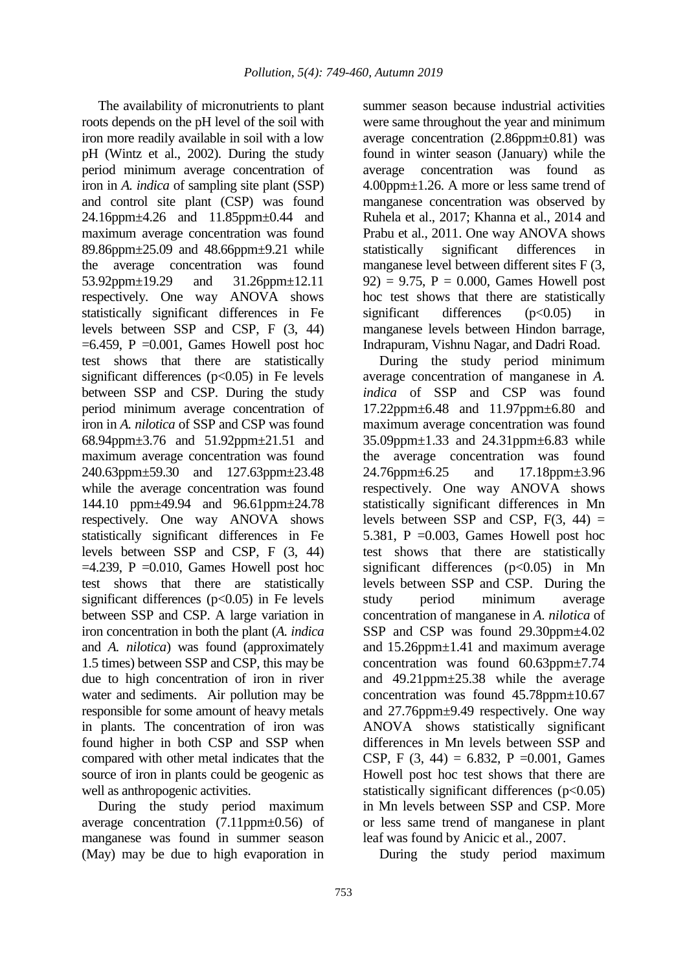The availability of micronutrients to plant roots depends on the pH level of the soil with iron more readily available in soil with a low pH (Wintz et al., 2002). During the study period minimum average concentration of iron in *A. indica* of sampling site plant (SSP) and control site plant (CSP) was found 24.16ppm±4.26 and 11.85ppm±0.44 and maximum average concentration was found 89.86ppm±25.09 and 48.66ppm±9.21 while the average concentration was found 53.92ppm±19.29 and 31.26ppm±12.11 respectively. One way ANOVA shows statistically significant differences in Fe levels between SSP and CSP, F (3, 44)  $=6.459$ , P  $=0.001$ , Games Howell post hoc test shows that there are statistically significant differences  $(p<0.05)$  in Fe levels between SSP and CSP. During the study period minimum average concentration of iron in *A. nilotica* of SSP and CSP was found 68.94ppm±3.76 and 51.92ppm±21.51 and maximum average concentration was found 240.63ppm±59.30 and 127.63ppm±23.48 while the average concentration was found 144.10 ppm±49.94 and 96.61ppm±24.78 respectively. One way ANOVA shows statistically significant differences in Fe levels between SSP and CSP, F (3, 44)  $=4.239$ , P  $=0.010$ , Games Howell post hoc test shows that there are statistically significant differences  $(p<0.05)$  in Fe levels between SSP and CSP. A large variation in iron concentration in both the plant (*A. indica*  and *A. nilotica*) was found (approximately 1.5 times) between SSP and CSP, this may be due to high concentration of iron in river water and sediments. Air pollution may be responsible for some amount of heavy metals in plants. The concentration of iron was found higher in both CSP and SSP when compared with other metal indicates that the source of iron in plants could be geogenic as well as anthropogenic activities.

During the study period maximum average concentration  $(7.11$ ppm $\pm$ 0.56) of manganese was found in summer season (May) may be due to high evaporation in

summer season because industrial activities were same throughout the year and minimum average concentration (2.86ppm±0.81) was found in winter season (January) while the average concentration was found as 4.00ppm±1.26. A more or less same trend of manganese concentration was observed by Ruhela et al., 2017; Khanna et al., 2014 and Prabu et al., 2011. One way ANOVA shows statistically significant differences in manganese level between different sites F (3,  $92$ ) = 9.75, P = 0.000, Games Howell post hoc test shows that there are statistically significant differences (p<0.05) in manganese levels between Hindon barrage, Indrapuram, Vishnu Nagar, and Dadri Road.

During the study period minimum average concentration of manganese in *A. indica* of SSP and CSP was found 17.22ppm±6.48 and 11.97ppm±6.80 and maximum average concentration was found 35.09ppm±1.33 and 24.31ppm±6.83 while the average concentration was found 24.76ppm±6.25 and 17.18ppm±3.96 respectively. One way ANOVA shows statistically significant differences in Mn levels between SSP and CSP,  $F(3, 44) =$ 5.381, P =  $0.003$ , Games Howell post hoc test shows that there are statistically significant differences  $(p<0.05)$  in Mn levels between SSP and CSP. During the study period minimum average concentration of manganese in *A. nilotica* of SSP and CSP was found 29.30ppm±4.02 and 15.26ppm±1.41 and maximum average concentration was found 60.63ppm±7.74 and 49.21ppm±25.38 while the average concentration was found 45.78ppm±10.67 and 27.76ppm±9.49 respectively. One way ANOVA shows statistically significant differences in Mn levels between SSP and CSP, F  $(3, 44) = 6.832$ , P = 0.001, Games Howell post hoc test shows that there are statistically significant differences  $(p<0.05)$ in Mn levels between SSP and CSP. More or less same trend of manganese in plant leaf was found by Anicic et al., 2007.

During the study period maximum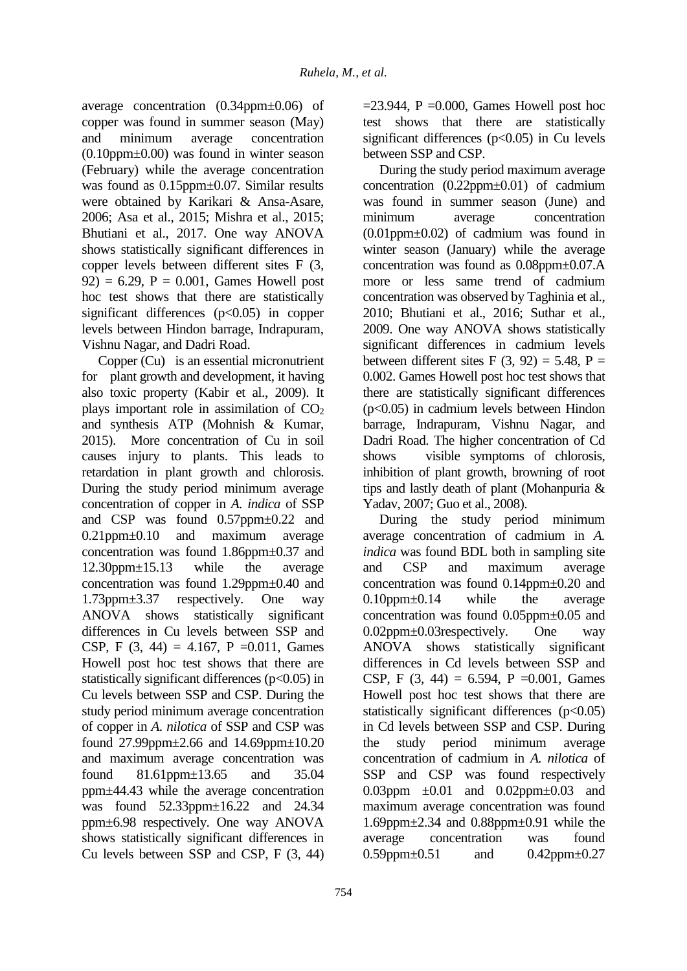average concentration (0.34ppm±0.06) of copper was found in summer season (May) and minimum average concentration  $(0.10$ ppm $\pm 0.00$ ) was found in winter season (February) while the average concentration was found as 0.15ppm $\pm$ 0.07. Similar results were obtained by Karikari & Ansa-Asare, 2006; Asa et al., 2015; Mishra et al., 2015; Bhutiani et al., 2017. One way ANOVA shows statistically significant differences in copper levels between different sites F (3,  $92$ ) = 6.29, P = 0.001, Games Howell post hoc test shows that there are statistically significant differences  $(p<0.05)$  in copper levels between Hindon barrage, Indrapuram, Vishnu Nagar, and Dadri Road.

Copper (Cu) is an essential micronutrient for plant growth and development, it having also toxic property (Kabir et al., 2009). It plays important role in assimilation of  $CO<sub>2</sub>$ and synthesis ATP (Mohnish & Kumar, 2015). More concentration of Cu in soil causes injury to plants. This leads to retardation in plant growth and chlorosis. During the study period minimum average concentration of copper in *A. indica* of SSP and CSP was found 0.57ppm±0.22 and 0.21ppm±0.10 and maximum average concentration was found 1.86ppm±0.37 and 12.30ppm±15.13 while the average concentration was found 1.29ppm±0.40 and 1.73ppm±3.37 respectively. One way ANOVA shows statistically significant differences in Cu levels between SSP and CSP, F  $(3, 44) = 4.167$ , P = 0.011, Games Howell post hoc test shows that there are statistically significant differences ( $p<0.05$ ) in Cu levels between SSP and CSP. During the study period minimum average concentration of copper in *A. nilotica* of SSP and CSP was found 27.99ppm±2.66 and 14.69ppm±10.20 and maximum average concentration was found 81.61ppm±13.65 and 35.04 ppm±44.43 while the average concentration was found 52.33ppm±16.22 and 24.34 ppm±6.98 respectively. One way ANOVA shows statistically significant differences in Cu levels between SSP and CSP, F (3, 44)

 $=$ 23.944, P  $=$ 0.000, Games Howell post hoc test shows that there are statistically significant differences ( $p<0.05$ ) in Cu levels between SSP and CSP.

During the study period maximum average concentration  $(0.22ppm+0.01)$  of cadmium was found in summer season (June) and minimum average concentration (0.01ppm±0.02) of cadmium was found in winter season (January) while the average concentration was found as 0.08ppm±0.07.A more or less same trend of cadmium concentration was observed by Taghinia et al., 2010; Bhutiani et al., 2016; Suthar et al., 2009. One way ANOVA shows statistically significant differences in cadmium levels between different sites F  $(3, 92) = 5.48$ , P = 0.002. Games Howell post hoc test shows that there are statistically significant differences (p<0.05) in cadmium levels between Hindon barrage, Indrapuram, Vishnu Nagar, and Dadri Road. The higher concentration of Cd shows visible symptoms of chlorosis, inhibition of plant growth, browning of root tips and lastly death of plant (Mohanpuria & Yadav, 2007; Guo et al., 2008).

During the study period minimum average concentration of cadmium in *A. indica* was found BDL both in sampling site and CSP and maximum average concentration was found 0.14ppm±0.20 and 0.10ppm±0.14 while the average concentration was found 0.05ppm±0.05 and 0.02ppm±0.03respectively. One way ANOVA shows statistically significant differences in Cd levels between SSP and CSP, F  $(3, 44) = 6.594$ , P = 0.001, Games Howell post hoc test shows that there are statistically significant differences  $(p<0.05)$ in Cd levels between SSP and CSP. During the study period minimum average concentration of cadmium in *A. nilotica* of SSP and CSP was found respectively 0.03ppm  $\pm 0.01$  and 0.02ppm $\pm 0.03$  and maximum average concentration was found  $1.69$ ppm $\pm$ 2.34 and  $0.88$ ppm $\pm$ 0.91 while the average concentration was found 0.59ppm $\pm$ 0.51 and 0.42ppm $\pm$ 0.27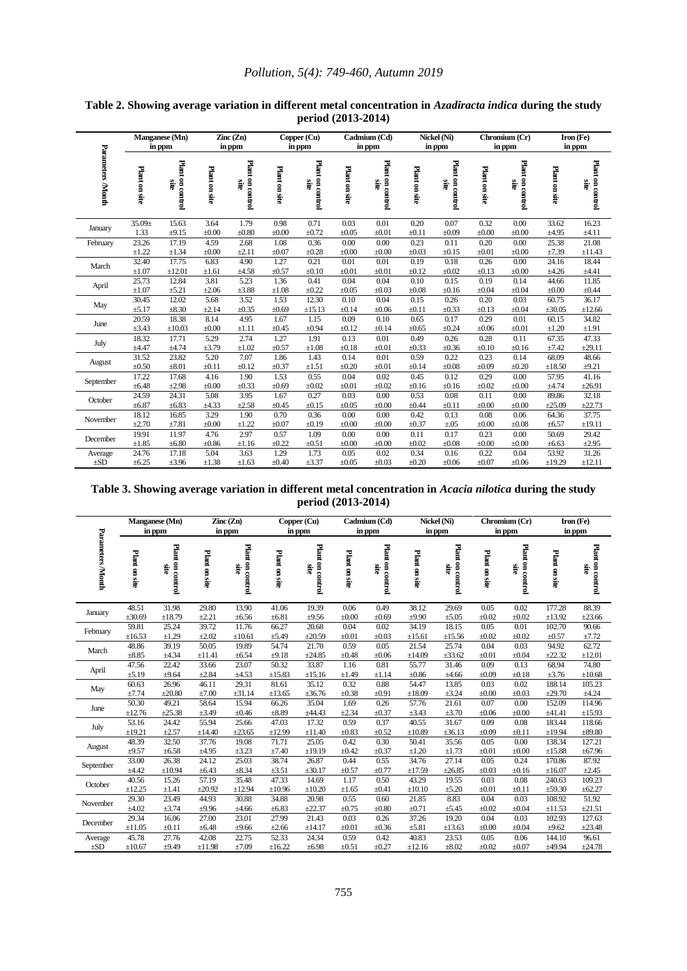|                   | Manganese (Mn)<br>in ppm |                          |               | $\text{Zinc}(\text{Zn})$<br>in ppm |               | Cadmium (Cd)<br>Copper (Cu)<br>in ppm<br>in ppm |               |                          | Nickel (Ni)<br>in ppm |                                 |               | Chromium (Cr)<br>in ppm  |               | Iron (Fe)<br>in ppm             |  |
|-------------------|--------------------------|--------------------------|---------------|------------------------------------|---------------|-------------------------------------------------|---------------|--------------------------|-----------------------|---------------------------------|---------------|--------------------------|---------------|---------------------------------|--|
| Parameters /Month | Plant on site            | Plant on control<br>Site | Plant on site | Plant on control<br>Site           | Plant on site | Plant on control<br>Site                        | Plant on site | Plant on control<br>site | Plant on site         | Plant on control<br><b>Site</b> | Plant on site | Plant on control<br>site | Plant on site | Plant on control<br><b>Site</b> |  |
| January           | $35.09 \pm$              | 15.63                    | 3.64          | 1.79                               | 0.98          | 0.71                                            | 0.03          | 0.01                     | 0.20                  | 0.07                            | 0.32          | 0.00                     | 33.62         | 16.23                           |  |
|                   | 1.33                     | ±9.15                    | $\pm 0.00$    | $\pm 0.80$                         | $\pm 0.00$    | $\pm 0.72$                                      | $\pm 0.05$    | $\pm 0.01$               | $\pm 0.11$            | $\pm 0.09$                      | $\pm 0.00$    | $\pm 0.00$               | ±4.95         | $\pm 4.11$                      |  |
| February          | 23.26                    | 17.19                    | 4.59          | 2.68                               | 1.08          | 0.36                                            | 0.00          | 0.00                     | 0.23                  | 0.11                            | 0.20          | 0.00                     | 25.38         | 21.08                           |  |
|                   | $\pm 1.22$               | $\pm 1.34$               | $\pm 0.00$    | ±2.11                              | $\pm 0.07$    | $\pm 0.28$                                      | $\pm 0.00$    | $\pm 0.00$               | $\pm 0.03$            | $\pm 0.15$                      | $\pm 0.01$    | $\pm 0.00$               | ±7.39         | $\pm 11.43$                     |  |
| March             | 32.40                    | 17.75                    | 6.83          | 4.90                               | 1.27          | 0.21                                            | 0.01          | 0.01                     | 0.19                  | 0.18                            | 0.26          | 0.00                     | 24.16         | 18.44                           |  |
|                   | $\pm 1.07$               | ±12.01                   | $\pm 1.61$    | ±4.58                              | $\pm 0.57$    | $\pm 0.10$                                      | $\pm 0.01$    | $\pm 0.01$               | $\pm 0.12$            | $\pm 0.02$                      | $\pm 0.13$    | $\pm 0.00$               | ±4.26         | ±4.41                           |  |
| April             | 25.73                    | 12.84                    | 3.81          | 5.23                               | 1.36          | 0.41                                            | 0.04          | 0.04                     | 0.10                  | 0.15                            | 0.19          | 0.14                     | 44.66         | 11.85                           |  |
|                   | $\pm 1.07$               | $\pm 5.21$               | $\pm 2.06$    | $\pm 3.88$                         | $\pm 1.08$    | $\pm 0.22$                                      | $\pm 0.05$    | $\pm 0.03$               | $\pm 0.08$            | $\pm 0.16$                      | $\pm 0.04$    | $\pm 0.04$               | $\pm 0.00$    | $\pm 0.44$                      |  |
| May               | 30.45                    | 12.02                    | 5.68          | 3.52                               | 1.53          | 12.30                                           | 0.10          | 0.04                     | 0.15                  | 0.26                            | 0.20          | 0.03                     | 60.75         | 36.17                           |  |
|                   | ±5.17                    | $\pm 8.30$               | ±2.14         | $\pm 0.35$                         | $\pm 0.69$    | ±15.13                                          | $\pm 0.14$    | $\pm 0.06$               | $\pm 0.11$            | $\pm 0.33$                      | $\pm 0.13$    | $\pm 0.04$               | $\pm 30.05$   | ±12.66                          |  |
| June              | 20.59                    | 18.38                    | 8.14          | 4.95                               | 1.67          | 1.15                                            | 0.09          | 0.10                     | 0.65                  | 0.17                            | 0.29          | 0.01                     | 60.15         | 34.82                           |  |
|                   | ±3.43                    | $\pm 10.03$              | $\pm 0.00$    | $\pm 1.11$                         | $\pm 0.45$    | $\pm 0.94$                                      | $\pm 0.12$    | $\pm 0.14$               | $\pm 0.65$            | $\pm 0.24$                      | $\pm 0.06$    | $\pm 0.01$               | $\pm 1.20$    | ±1.91                           |  |
| July              | 18.32                    | 17.71                    | 5.29          | 2.74                               | 1.27          | 1.91                                            | 0.13          | 0.01                     | 0.49                  | 0.26                            | 0.28          | 0.11                     | 67.35         | 47.33                           |  |
|                   | $\pm 4.47$               | ±4.74                    | $\pm 3.79$    | $\pm 1.02$                         | $\pm 0.57$    | $\pm 1.08$                                      | $\pm 0.18$    | $\pm 0.01$               | $\pm 0.33$            | $\pm 0.36$                      | $\pm 0.10$    | $\pm 0.16$               | ±7.42         | ±29.11                          |  |
| August            | 31.52                    | 23.82                    | 5.20          | 7.07                               | 1.86          | 1.43                                            | 0.14          | 0.01                     | 0.59                  | 0.22                            | 0.23          | 0.14                     | 68.09         | 48.66                           |  |
|                   | $\pm 0.50$               | $\pm 8.01$               | $\pm 0.11$    | $\pm 0.12$                         | $\pm 0.37$    | $\pm 1.51$                                      | $\pm 0.20$    | $\pm 0.01$               | $\pm 0.14$            | $\pm 0.08$                      | $\pm 0.09$    | $\pm 0.20$               | $\pm 18.50$   | $\pm 9.21$                      |  |
| September         | 17.22                    | 17.68                    | 4.16          | 1.90                               | 1.53          | 0.55                                            | 0.04          | 0.02                     | 0.45                  | 0.12                            | 0.29          | 0.00                     | 57.95         | 41.16                           |  |
|                   | $\pm 6.48$               | $\pm 2.98$               | $\pm 0.00$    | $\pm 0.33$                         | $\pm 0.69$    | $\pm 0.02$                                      | $\pm 0.01$    | $\pm 0.02$               | $\pm 0.16$            | $\pm 0.16$                      | $\pm 0.02$    | $\pm 0.00$               | $\pm 4.74$    | ±26.91                          |  |
| October           | 24.59                    | 24.31                    | 5.08          | 3.95                               | 1.67          | 0.27                                            | 0.03          | 0.00                     | 0.53                  | 0.08                            | 0.11          | 0.00                     | 89.86         | 32.18                           |  |
|                   | $\pm 6.87$               | $\pm 6.83$               | ±4.33         | ±2.58                              | $\pm 0.45$    | $\pm 0.15$                                      | $\pm 0.05$    | $\pm 0.00$               | $\pm 0.44$            | $\pm 0.11$                      | $\pm 0.00$    | $\pm 0.00$               | ±25.09        | ±22.73                          |  |
| November          | 18.12                    | 16.85                    | 3.29          | 1.90                               | 0.70          | 0.36                                            | 0.00          | 0.00                     | 0.42                  | 0.13                            | 0.08          | 0.06                     | 64.36         | 37.75                           |  |
|                   | ±2.70                    | ±7.81                    | $\pm 0.00$    | $\pm 1.22$                         | $\pm 0.07$    | $\pm 0.19$                                      | $\pm 0.00$    | $\pm 0.00$               | $\pm 0.37$            | $\pm .05$                       | $\pm 0.00$    | $\pm 0.08$               | $\pm 6.57$    | $\pm 19.11$                     |  |
| December          | 19.91                    | 11.97                    | 4.76          | 2.97                               | 0.57          | 1.09                                            | 0.00          | 0.00                     | 0.11                  | 0.17                            | 0.23          | 0.00                     | 50.69         | 29.42                           |  |
|                   | $\pm 1.85$               | $\pm 6.80$               | $\pm 0.86$    | ±1.16                              | $\pm 0.22$    | $\pm 0.51$                                      | $\pm 0.00$    | $\pm 0.00$               | $\pm 0.02$            | $\pm 0.08$                      | $\pm 0.00$    | $\pm 0.00$               | $\pm 6.63$    | ±2.95                           |  |
| Average           | 24.76                    | 17.18                    | 5.04          | 3.63                               | 1.29          | 1.73                                            | 0.05          | 0.02                     | 0.34                  | 0.16                            | 0.22          | 0.04                     | 53.92         | 31.26                           |  |
| $\pm SD$          | ±6.25                    | $\pm 3.96$               | $\pm 1.38$    | $\pm 1.63$                         | $\pm 0.40$    | $\pm 3.37$                                      | $\pm 0.05$    | $\pm 0.03$               | $\pm 0.20$            | $\pm 0.06$                      | $\pm 0.07$    | $\pm 0.06$               | ±19.29        | ±12.11                          |  |

**Table 2. Showing average variation in different metal concentration in** *Azadiracta indica* **during the study period (2013-2014)**

**Table 3. Showing average variation in different metal concentration in** *Acacia nilotica* **during the study period (2013-2014)**

|                         |               | Manganese (Mn)<br>in ppm |               | $\rm Zinc$ $\rm (Zn)$<br>in ppm |               | Copper (Cu)<br>Cadmium (Cd)<br>in ppm<br>in ppm |               | Nickel (Ni)<br>in ppm    |               | Chromium (Cr)<br>in ppm  |               |                          | Iron (Fe)<br>in ppm |                          |
|-------------------------|---------------|--------------------------|---------------|---------------------------------|---------------|-------------------------------------------------|---------------|--------------------------|---------------|--------------------------|---------------|--------------------------|---------------------|--------------------------|
| <b>Parameters Month</b> | Plant on site | Plant on control<br>site | Plant on site | Plant on control<br>site        | Plant on site | Plant on control<br>site                        | Plant on site | Plant on control<br>site | Plant on site | Plant on control<br>aie. | Plant on site | Plant on control<br>site | Plant on site       | Plant on control<br>aje. |
| January                 | 48.51         | 31.98                    | 29.80         | 13.90                           | 41.06         | 19.39                                           | 0.06          | 0.49                     | 38.12         | 29.69                    | 0.05          | 0.02                     | 177.28              | 88.39                    |
|                         | ±30.69        | ±18.79                   | ±2.21         | $\pm 6.56$                      | $\pm 6.81$    | ±9.56                                           | $\pm 0.00$    | $\pm 0.69$               | ±9.90         | $\pm 5.05$               | $\pm 0.02$    | $\pm 0.02$               | ±13.92              | ±23.66                   |
| February                | 59.81         | 25.24                    | 39.72         | 11.76                           | 66.27         | 20.68                                           | 0.04          | 0.02                     | 34.19         | 18.15                    | 0.05          | 0.01                     | 102.70              | 90.66                    |
|                         | $\pm 16.53$   | $\pm 1.29$               | $\pm 2.02$    | $\pm 10.61$                     | $\pm$ 5.49    | ±20.59                                          | $\pm 0.01$    | $\pm 0.03$               | $\pm 15.61$   | ±15.56                   | $\pm 0.02$    | $\pm 0.02$               | $\pm 0.57$          | ±7.72                    |
| March                   | 48.86         | 39.19                    | 50.05         | 19.89                           | 54.74         | 21.70                                           | 0.59          | 0.05                     | 21.54         | 25.74                    | 0.04          | 0.03                     | 94.92               | 62.72                    |
|                         | $\pm 8.85$    | ±4.34                    | ±11.41        | ±6.54                           | ±9.18         | ±24.85                                          | $\pm 0.48$    | $\pm 0.06$               | $\pm 14.09$   | ±33.62                   | $\pm 0.01$    | $\pm 0.04$               | ±22.32              | $\pm 12.01$              |
| April                   | 47.56         | 22.42                    | 33.66         | 23.07                           | 50.32         | 33.87                                           | 1.16          | 0.81                     | 55.77         | 31.46                    | 0.09          | 0.13                     | 68.94               | 74.80                    |
|                         | ±5.19         | ±9.64                    | $\pm 2.84$    | $\pm 4.53$                      | $\pm 15.83$   | ±15.16                                          | ±1.49         | ±1.14                    | ±0.86         | ±4.66                    | $\pm 0.09$    | $\pm 0.18$               | ±3.76               | $\pm 10.68$              |
| May                     | 60.63         | 26.96                    | 46.11         | 29.31                           | 81.61         | 35.12                                           | 0.32          | 0.88                     | 54.47         | 13.85                    | 0.03          | 0.02                     | 188.14              | 105.23                   |
|                         | ±7.74         | ±20.80                   | ±7.00         | ±31.14                          | $\pm 13.65$   | ±36.76                                          | $\pm 0.38$    | $\pm 0.91$               | $\pm 18.09$   | ±3.24                    | $\pm 0.00$    | $\pm 0.03$               | ±29.70              | ±4.24                    |
| June                    | 50.30         | 49.21                    | 58.64         | 15.94                           | 66.26         | 35.04                                           | 1.69          | 0.26                     | 57.76         | 21.61                    | 0.07          | 0.00                     | 152.09              | 114.96                   |
|                         | ±12.76        | ±25.38                   | $\pm 3.49$    | $\pm 0.46$                      | $\pm 8.89$    | ±44.43                                          | ±2.34         | $\pm 0.37$               | ±3.43         | $\pm 3.70$               | $\pm 0.06$    | $\pm 0.00$               | ±41.41              | ±15.93                   |
| July                    | 53.16         | 24.42                    | 55.94         | 25.66                           | 47.03         | 17.32                                           | 0.59          | 0.37                     | 40.55         | 31.67                    | 0.09          | 0.08                     | 183.44              | 118.66                   |
|                         | ±19.21        | ±2.57                    | ±14.40        | ±23.65                          | ±12.99        | ±11.40                                          | ±0.83         | $\pm 0.52$               | $\pm 10.89$   | ±36.13                   | $\pm 0.09$    | $\pm 0.11$               | ±19.94              | ±89.80                   |
| August                  | 48.39         | 32.50                    | 37.76         | 19.08                           | 71.71         | 25.05                                           | 0.42          | 0.30                     | 50.41         | 35.56                    | 0.05          | 0.00                     | 138.34              | 127.21                   |
|                         | $\pm 9.57$    | $\pm 6.58$               | ±4.95         | ±3.23                           | ±7.40         | $\pm 19.19$                                     | $\pm 0.42$    | $\pm 0.37$               | $\pm 1.20$    | $\pm 1.73$               | $\pm 0.01$    | $\pm 0.00$               | ±15.88              | ±67.96                   |
| September               | 33.00         | 26.38                    | 24.12         | 25.03                           | 38.74         | 26.87                                           | 0.44          | 0.55                     | 34.76         | 27.14                    | 0.05          | 0.24                     | 170.86              | 87.92                    |
|                         | ±4.42         | $\pm 10.94$              | $\pm 6.43$    | ±8.34                           | $\pm 3.51$    | ±30.17                                          | $\pm 0.57$    | $\pm 0.77$               | ±17.59        | ±26.85                   | $\pm 0.03$    | $\pm 0.16$               | $\pm 16.07$         | ±2.45                    |
| October                 | 40.56         | 15.26                    | 57.19         | 35.48                           | 47.33         | 14.69                                           | 1.17          | 0.50                     | 43.29         | 19.55                    | 0.03          | 0.08                     | 240.63              | 109.23                   |
|                         | ±12.25        | ±1.41                    | ±20.92        | ±12.94                          | $\pm 10.96$   | $\pm 10.20$                                     | $\pm 1.65$    | $\pm 0.41$               | $\pm 10.10$   | $\pm$ 5.20               | $\pm 0.01$    | $\pm 0.11$               | ±59.30              | ±62.27                   |
| November                | 29.30         | 23.49                    | 44.93         | 30.88                           | 34.88         | 20.98                                           | 0.55          | 0.60                     | 21.85         | 8.83                     | 0.04          | 0.03                     | 108.92              | 51.92                    |
|                         | ±4.02         | ±3.74                    | ±9.96         | ±4.66                           | $\pm 6.83$    | ±22.37                                          | ±0.75         | $\pm 0.80$               | $\pm 0.71$    | ±5.45                    | $\pm 0.02$    | $\pm 0.04$               | ±11.53              | ±21.51                   |
| December                | 29.34         | 16.06                    | 27.00         | 23.01                           | 27.99         | 21.43                                           | 0.03          | 0.26                     | 37.26         | 19.20                    | 0.04          | 0.03                     | 102.93              | 127.63                   |
|                         | ±11.05        | $\pm 0.11$               | $\pm 6.48$    | ±9.66                           | $\pm 2.66$    | ±14.17                                          | $\pm 0.01$    | $\pm 0.36$               | $\pm$ 5.81    | ±13.63                   | $\pm 0.00$    | $\pm 0.04$               | ±9.62               | ±23.48                   |
| Average                 | 45.78         | 27.76                    | 42.08         | 22.75                           | 52.33         | 24.34                                           | 0.59          | 0.42                     | 40.83         | 23.53                    | 0.05          | 0.06                     | 144.10              | 96.61                    |
| $\pm$ SD                | $\pm 10.67$   | ±9.49                    | ±11.98        | ±7.09                           | ±16.22        | $\pm 6.98$                                      | $\pm 0.51$    | $\pm 0.27$               | ±12.16        | $\pm 8.02$               | $\pm 0.02$    | $\pm 0.07$               | ±49.94              | ±24.78                   |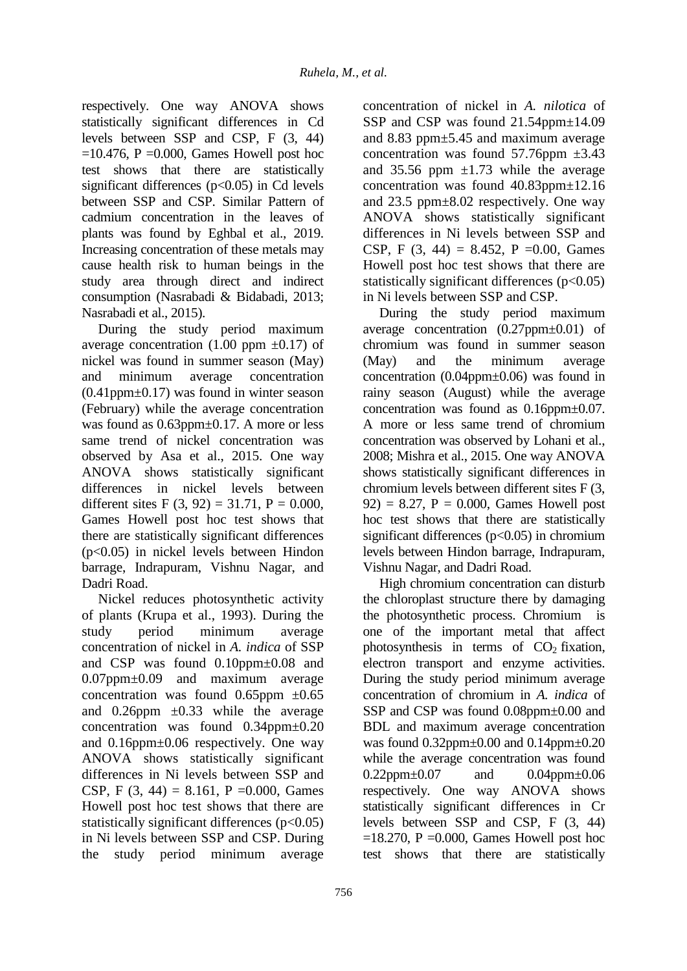respectively. One way ANOVA shows statistically significant differences in Cd levels between SSP and CSP, F (3, 44)  $=10.476$ , P  $=0.000$ , Games Howell post hoc test shows that there are statistically significant differences  $(p<0.05)$  in Cd levels between SSP and CSP. Similar Pattern of cadmium concentration in the leaves of plants was found by Eghbal et al., 2019. Increasing concentration of these metals may cause health risk to human beings in the study area through direct and indirect consumption (Nasrabadi & Bidabadi, 2013; Nasrabadi et al., 2015).

During the study period maximum average concentration  $(1.00 \text{ ppm } \pm 0.17)$  of nickel was found in summer season (May) and minimum average concentration  $(0.41$ ppm $\pm$ 0.17) was found in winter season (February) while the average concentration was found as  $0.63$ ppm $\pm$ 0.17. A more or less same trend of nickel concentration was observed by Asa et al., 2015. One way ANOVA shows statistically significant differences in nickel levels between different sites F  $(3, 92) = 31.71$ , P = 0.000, Games Howell post hoc test shows that there are statistically significant differences (p<0.05) in nickel levels between Hindon barrage, Indrapuram, Vishnu Nagar, and Dadri Road.

Nickel reduces photosynthetic activity of plants (Krupa et al., 1993). During the study period minimum average concentration of nickel in *A. indica* of SSP and CSP was found 0.10ppm±0.08 and 0.07ppm±0.09 and maximum average concentration was found  $0.65$ ppm  $\pm 0.65$ and  $0.26$ ppm  $\pm 0.33$  while the average concentration was found 0.34ppm±0.20 and 0.16ppm±0.06 respectively. One way ANOVA shows statistically significant differences in Ni levels between SSP and CSP, F  $(3, 44) = 8.161$ , P =0.000, Games Howell post hoc test shows that there are statistically significant differences  $(p<0.05)$ in Ni levels between SSP and CSP. During the study period minimum average

concentration of nickel in *A. nilotica* of SSP and CSP was found 21.54ppm $\pm$ 14.09 and 8.83 ppm±5.45 and maximum average concentration was found  $57.76$ ppm  $\pm 3.43$ and 35.56 ppm  $\pm 1.73$  while the average concentration was found 40.83ppm±12.16 and 23.5 ppm±8.02 respectively. One way ANOVA shows statistically significant differences in Ni levels between SSP and CSP, F (3, 44) = 8.452, P = 0.00, Games Howell post hoc test shows that there are statistically significant differences  $(p<0.05)$ in Ni levels between SSP and CSP.

During the study period maximum average concentration (0.27ppm±0.01) of chromium was found in summer season (May) and the minimum average concentration (0.04ppm±0.06) was found in rainy season (August) while the average concentration was found as 0.16ppm±0.07. A more or less same trend of chromium concentration was observed by Lohani et al., 2008; Mishra et al., 2015. One way ANOVA shows statistically significant differences in chromium levels between different sites F (3,  $92$ ) = 8.27, P = 0.000, Games Howell post hoc test shows that there are statistically significant differences ( $p<0.05$ ) in chromium levels between Hindon barrage, Indrapuram, Vishnu Nagar, and Dadri Road.

High chromium concentration can disturb the chloroplast structure there by damaging the photosynthetic process. Chromium is one of the important metal that affect photosynthesis in terms of  $CO<sub>2</sub>$  fixation, electron transport and enzyme activities. During the study period minimum average concentration of chromium in *A. indica* of SSP and CSP was found 0.08ppm $\pm$ 0.00 and BDL and maximum average concentration was found 0.32ppm±0.00 and 0.14ppm±0.20 while the average concentration was found 0.22ppm±0.07 and 0.04ppm±0.06 respectively. One way ANOVA shows statistically significant differences in Cr levels between SSP and CSP, F (3, 44)  $=18.270$ , P  $=0.000$ , Games Howell post hoc test shows that there are statistically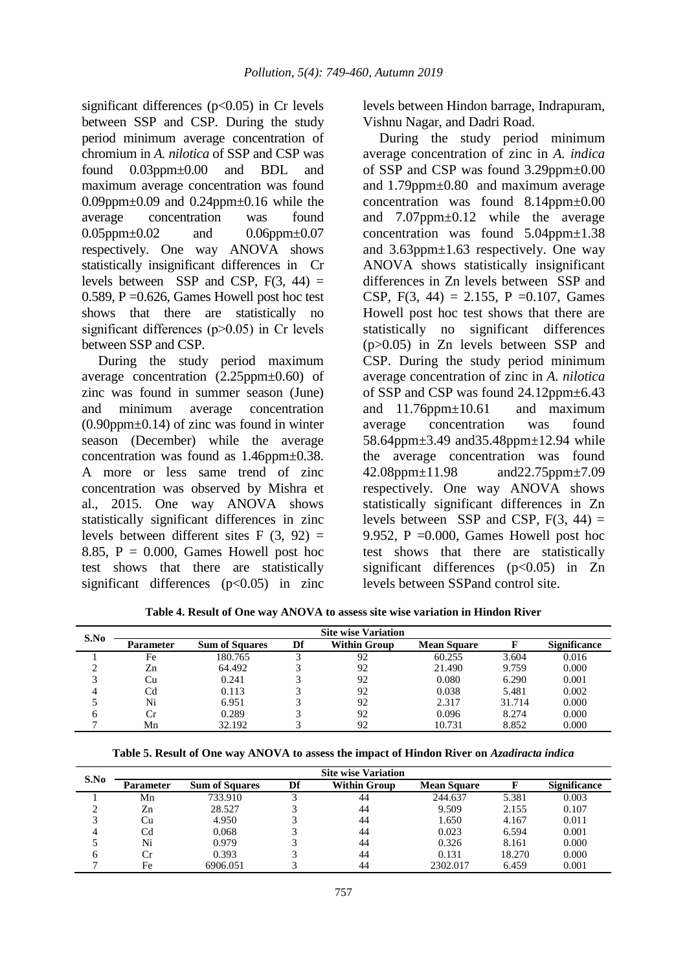significant differences  $(p<0.05)$  in Cr levels between SSP and CSP. During the study period minimum average concentration of chromium in *A. nilotica* of SSP and CSP was found 0.03ppm±0.00 and BDL and maximum average concentration was found 0.09ppm $\pm$ 0.09 and 0.24ppm $\pm$ 0.16 while the average concentration was found 0.05ppm±0.02 and 0.06ppm±0.07 respectively. One way ANOVA shows statistically insignificant differences in Cr levels between SSP and CSP,  $F(3, 44) =$ 0.589, P =  $0.626$ , Games Howell post hoc test shows that there are statistically no significant differences  $(p>0.05)$  in Cr levels between SSP and CSP.

During the study period maximum average concentration (2.25ppm±0.60) of zinc was found in summer season (June) and minimum average concentration  $(0.90$ ppm $\pm 0.14$ ) of zinc was found in winter season (December) while the average concentration was found as 1.46ppm±0.38. A more or less same trend of zinc concentration was observed by Mishra et al., 2015. One way ANOVA shows statistically significant differences in zinc levels between different sites  $F(3, 92) =$ 8.85,  $P = 0.000$ , Games Howell post hoc test shows that there are statistically significant differences  $(p<0.05)$  in zinc

levels between Hindon barrage, Indrapuram, Vishnu Nagar, and Dadri Road.

During the study period minimum average concentration of zinc in *A. indica*  of SSP and CSP was found 3.29ppm±0.00 and 1.79ppm±0.80 and maximum average concentration was found 8.14ppm±0.00 and 7.07ppm±0.12 while the average concentration was found  $5.04$ ppm $\pm$ 1.38 and 3.63ppm±1.63 respectively. One way ANOVA shows statistically insignificant differences in Zn levels between SSP and CSP,  $F(3, 44) = 2.155$ ,  $P = 0.107$ , Games Howell post hoc test shows that there are statistically no significant differences (p>0.05) in Zn levels between SSP and CSP. During the study period minimum average concentration of zinc in *A. nilotica*  of SSP and CSP was found 24.12ppm±6.43 and 11.76ppm±10.61 and maximum average concentration was found 58.64ppm±3.49 and35.48ppm±12.94 while the average concentration was found 42.08ppm±11.98 and22.75ppm±7.09 respectively. One way ANOVA shows statistically significant differences in Zn levels between SSP and CSP,  $F(3, 44) =$ 9.952, P =  $0.000$ , Games Howell post hoc test shows that there are statistically significant differences  $(p<0.05)$  in Zn levels between SSPand control site.

| S.No | <b>Site wise Variation</b> |                       |    |                     |                    |        |                     |  |  |  |  |  |
|------|----------------------------|-----------------------|----|---------------------|--------------------|--------|---------------------|--|--|--|--|--|
|      | <b>Parameter</b>           | <b>Sum of Squares</b> | Df | <b>Within Group</b> | <b>Mean Square</b> |        | <b>Significance</b> |  |  |  |  |  |
|      | Fe                         | 180.765               |    | 92                  | 60.255             | 3.604  | 0.016               |  |  |  |  |  |
|      | Zn                         | 64.492                |    | 92                  | 21.490             | 9.759  | 0.000               |  |  |  |  |  |
|      | Cп                         | 0.241                 |    | 92                  | 0.080              | 6.290  | 0.001               |  |  |  |  |  |
|      | Cd                         | 0.113                 |    | 92                  | 0.038              | 5.481  | 0.002               |  |  |  |  |  |
|      | Ni                         | 6.951                 |    | 92                  | 2.317              | 31.714 | 0.000               |  |  |  |  |  |

**Table 4. Result of One way ANOVA to assess site wise variation in Hindon River**

**Table 5. Result of One way ANOVA to assess the impact of Hindon River on** *Azadiracta indica*

6 Cr 0.289 3 92 0.096 8.274 0.000 7 Mn 32.192 3 92 10.731 8.852 0.000

| S.No | <b>Site wise Variation</b> |                       |    |                     |                    |        |                     |  |  |  |  |
|------|----------------------------|-----------------------|----|---------------------|--------------------|--------|---------------------|--|--|--|--|
|      | <b>Parameter</b>           | <b>Sum of Squares</b> | Df | <b>Within Group</b> | <b>Mean Square</b> |        | <b>Significance</b> |  |  |  |  |
|      | Mn                         | 733.910               |    | 44                  | 244.637            | 5.381  | 0.003               |  |  |  |  |
| ◠    | Zn                         | 28.527                |    | 44                  | 9.509              | 2.155  | 0.107               |  |  |  |  |
| 3    | Сu                         | 4.950                 |    | 44                  | 1.650              | 4.167  | 0.011               |  |  |  |  |
| 4    | Cd                         | 0.068                 |    | 44                  | 0.023              | 6.594  | 0.001               |  |  |  |  |
|      | Ni                         | 0.979                 |    | 44                  | 0.326              | 8.161  | 0.000               |  |  |  |  |
| 6    | Cr.                        | 0.393                 |    | 44                  | 0.131              | 18.270 | 0.000               |  |  |  |  |
|      | Fe                         | 6906.051              |    | 44                  | 2302.017           | 6.459  | 0.001               |  |  |  |  |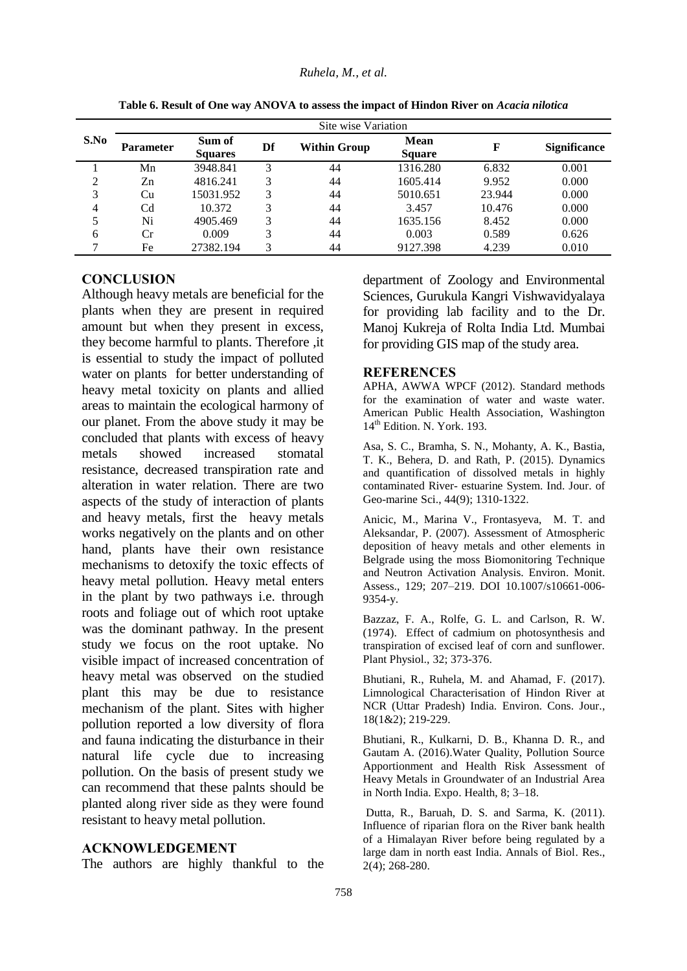|      | Site wise Variation |                          |    |                     |                              |        |                     |  |  |  |  |
|------|---------------------|--------------------------|----|---------------------|------------------------------|--------|---------------------|--|--|--|--|
| S.No | <b>Parameter</b>    | Sum of<br><b>Squares</b> | Df | <b>Within Group</b> | <b>Mean</b><br><b>Square</b> | F      | <b>Significance</b> |  |  |  |  |
|      | Mn                  | 3948.841                 | 3  | 44                  | 1316.280                     | 6.832  | 0.001               |  |  |  |  |
| 2    | Zn                  | 4816.241                 | 3  | 44                  | 1605.414                     | 9.952  | 0.000               |  |  |  |  |
| 3    | Cu                  | 15031.952                | 3  | 44                  | 5010.651                     | 23.944 | 0.000               |  |  |  |  |
| 4    | Cd                  | 10.372                   | 3  | 44                  | 3.457                        | 10.476 | 0.000               |  |  |  |  |
| 5    | Ni                  | 4905.469                 | 3  | 44                  | 1635.156                     | 8.452  | 0.000               |  |  |  |  |
| 6    | Сr                  | 0.009                    | 3  | 44                  | 0.003                        | 0.589  | 0.626               |  |  |  |  |
| ⇁    | Fe                  | 27382.194                | 3  | 44                  | 9127.398                     | 4.239  | 0.010               |  |  |  |  |

**Table 6. Result of One way ANOVA to assess the impact of Hindon River on** *Acacia nilotica*

## **CONCLUSION**

Although heavy metals are beneficial for the plants when they are present in required amount but when they present in excess, they become harmful to plants. Therefore ,it is essential to study the impact of polluted water on plants for better understanding of heavy metal toxicity on plants and allied areas to maintain the ecological harmony of our planet. From the above study it may be concluded that plants with excess of heavy metals showed increased stomatal resistance, decreased transpiration rate and alteration in water relation. There are two aspects of the study of interaction of plants and heavy metals, first the heavy metals works negatively on the plants and on other hand, plants have their own resistance mechanisms to detoxify the toxic effects of heavy metal pollution. Heavy metal enters in the plant by two pathways i.e. through roots and foliage out of which root uptake was the dominant pathway. In the present study we focus on the root uptake. No visible impact of increased concentration of heavy metal was observed on the studied plant this may be due to resistance mechanism of the plant. Sites with higher pollution reported a low diversity of flora and fauna indicating the disturbance in their natural life cycle due to increasing pollution. On the basis of present study we can recommend that these palnts should be planted along river side as they were found resistant to heavy metal pollution.

#### **ACKNOWLEDGEMENT**

The authors are highly thankful to the

department of Zoology and Environmental Sciences, Gurukula Kangri Vishwavidyalaya for providing lab facility and to the Dr. Manoj Kukreja of Rolta India Ltd. Mumbai for providing GIS map of the study area.

#### **REFERENCES**

APHA, AWWA WPCF (2012). Standard methods for the examination of water and waste water. American Public Health Association, Washington 14<sup>th</sup> Edition. N. York. 193.

Asa, S. C., Bramha, S. N., Mohanty, A. K., Bastia, T. K., Behera, D. and Rath, P. (2015). Dynamics and quantification of dissolved metals in highly contaminated River- estuarine System. Ind. Jour. of Geo-marine Sci., 44(9); 1310-1322.

Anicic, M., Marina V., Frontasyeva, M. T. and Aleksandar, P. (2007). Assessment of Atmospheric deposition of heavy metals and other elements in Belgrade using the moss Biomonitoring Technique and Neutron Activation Analysis. Environ. Monit. Assess., 129; 207–219. DOI 10.1007/s10661-006- 9354-y.

Bazzaz, F. A., Rolfe, G. L. and Carlson, R. W. (1974). Effect of cadmium on photosynthesis and transpiration of excised leaf of corn and sunflower. Plant Physiol., 32; 373-376.

Bhutiani, R., Ruhela, M. and Ahamad, F. (2017). Limnological Characterisation of Hindon River at NCR (Uttar Pradesh) India. Environ. Cons. Jour., 18(1&2); 219-229.

Bhutiani, R., Kulkarni, D. B., Khanna D. R., and Gautam A. (2016).Water Quality, Pollution Source Apportionment and Health Risk Assessment of Heavy Metals in Groundwater of an Industrial Area in North India. Expo. Health, 8; 3–18.

Dutta, R., Baruah, D. S. and Sarma, K. (2011). Influence of riparian flora on the River bank health of a Himalayan River before being regulated by a large dam in north east India. Annals of Biol. Res., 2(4); 268-280.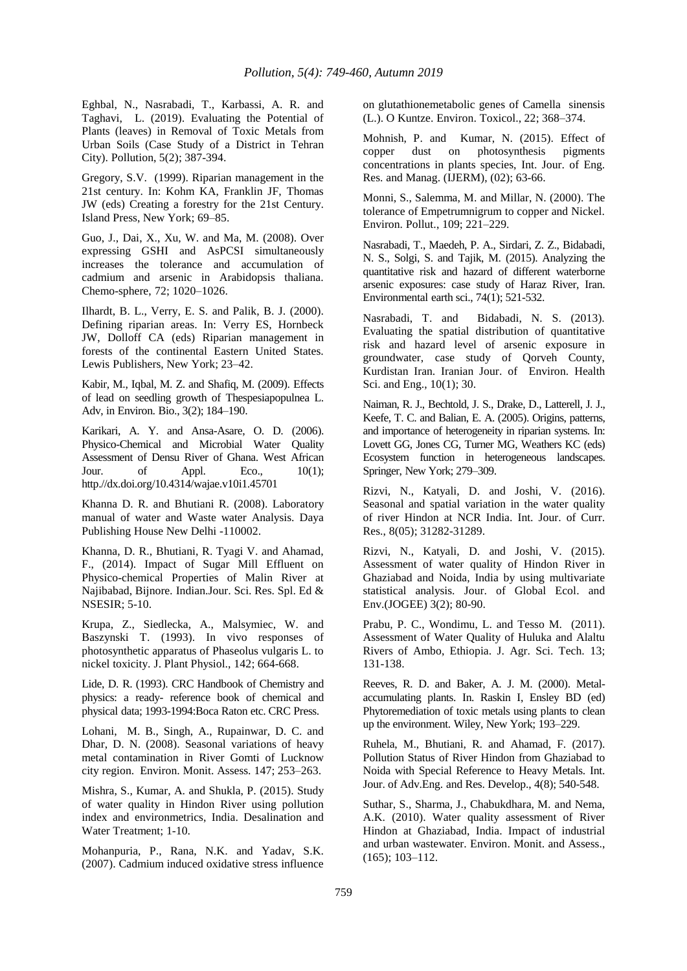Eghbal, N., Nasrabadi, T., Karbassi, A. R. and Taghavi, L. (2019). Evaluating the Potential of Plants (leaves) in Removal of Toxic Metals from Urban Soils (Case Study of a District in Tehran City). Pollution, 5(2); 387-394.

Gregory, S.V. (1999). Riparian management in the 21st century. In: Kohm KA, Franklin JF, Thomas JW (eds) Creating a forestry for the 21st Century. Island Press, New York; 69–85.

Guo, J., Dai, X., Xu, W. and Ma, M. (2008). Over expressing GSHI and AsPCSI simultaneously increases the tolerance and accumulation of cadmium and arsenic in Arabidopsis thaliana. Chemo-sphere, 72; 1020–1026.

Ilhardt, B. L., Verry, E. S. and Palik, B. J. (2000). Defining riparian areas. In: Verry ES, Hornbeck JW, Dolloff CA (eds) Riparian management in forests of the continental Eastern United States. Lewis Publishers, New York; 23–42.

Kabir, M., Iqbal, M. Z. and Shafiq, M. (2009). Effects of lead on seedling growth of Thespesiapopulnea L. Adv, in Environ. Bio., 3(2); 184–190.

Karikari, A. Y. and Ansa-Asare, O. D. (2006). Physico-Chemical and Microbial Water Quality Assessment of Densu River of Ghana. West African<br>Jour. of Appl. Eco.. 10(1): Jour. of Appl. Eco., 10(1); http.//dx.doi.org/10.4314/wajae.v10i1.45701

Khanna D. R. and Bhutiani R. (2008). Laboratory manual of water and Waste water Analysis. Daya Publishing House New Delhi -110002.

Khanna, D. R., Bhutiani, R. Tyagi V. and Ahamad, F., (2014). Impact of Sugar Mill Effluent on Physico-chemical Properties of Malin River at Najibabad, Bijnore*.* Indian.Jour. Sci. Res. Spl. Ed & NSESIR; 5-10.

Krupa, Z., Siedlecka, A., Malsymiec, W. and Baszynski T. (1993). In vivo responses of photosynthetic apparatus of Phaseolus vulgaris L. to nickel toxicity. J. Plant Physiol., 142; 664-668.

Lide, D. R. (1993). CRC Handbook of Chemistry and physics: a ready- reference book of chemical and physical data; 1993-1994:Boca Raton etc. CRC Press.

Lohani, M. B., Singh, A., Rupainwar, D. C. and Dhar, D. N. (2008). Seasonal variations of heavy metal contamination in River Gomti of Lucknow city region. Environ. Monit. Assess. 147; 253–263.

Mishra, S., Kumar, A. and Shukla, P. (2015). Study of water quality in Hindon River using pollution index and environmetrics, India. Desalination and Water Treatment; 1-10.

Mohanpuria, P., Rana, N.K. and Yadav, S.K. (2007). Cadmium induced oxidative stress influence on glutathionemetabolic genes of Camella sinensis (L.). O Kuntze. Environ. Toxicol., 22; 368–374.

Mohnish, P. and Kumar, N. (2015). Effect of copper dust on photosynthesis pigments concentrations in plants species, Int. Jour. of Eng. Res. and Manag. (IJERM), (02); 63-66.

Monni, S., Salemma, M. and Millar, N. (2000). The tolerance of Empetrumnigrum to copper and Nickel. Environ. Pollut., 109; 221–229.

Nasrabadi, T., Maedeh, P. A., Sirdari, Z. Z., Bidabadi, N. S., Solgi, S. and Tajik, M. (2015). Analyzing the quantitative risk and hazard of different waterborne arsenic exposures: case study of Haraz River, Iran. Environmental earth sci., 74(1); 521-532.

Nasrabadi, T. and Bidabadi, N. S. (2013). Evaluating the spatial distribution of quantitative risk and hazard level of arsenic exposure in groundwater, case study of Qorveh County, Kurdistan Iran. Iranian Jour. of Environ. Health Sci. and Eng., 10(1); 30.

Naiman, R. J., Bechtold, J. S., Drake, D., Latterell, J. J., Keefe, T. C. and Balian, E. A. (2005). Origins, patterns, and importance of heterogeneity in riparian systems. In: Lovett GG, Jones CG, Turner MG, Weathers KC (eds) Ecosystem function in heterogeneous landscapes. Springer, New York; 279–309.

Rizvi, N., Katyali, D. and Joshi, V. (2016). Seasonal and spatial variation in the water quality of river Hindon at NCR India. Int. Jour. of Curr. Res., 8(05); 31282-31289.

Rizvi, N., Katyali, D. and Joshi, V. (2015). Assessment of water quality of Hindon River in Ghaziabad and Noida, India by using multivariate statistical analysis. Jour. of Global Ecol. and Env.(JOGEE) 3(2); 80-90.

Prabu, P. C., Wondimu, L. and Tesso M. (2011). Assessment of Water Quality of Huluka and Alaltu Rivers of Ambo, Ethiopia. J. Agr. Sci. Tech. 13; 131-138.

Reeves, R. D. and Baker, A. J. M. (2000). Metalaccumulating plants. In. Raskin I, Ensley BD (ed) Phytoremediation of toxic metals using plants to clean up the environment. Wiley, New York; 193–229.

Ruhela, M., Bhutiani, R. and Ahamad, F. (2017). Pollution Status of River Hindon from Ghaziabad to Noida with Special Reference to Heavy Metals. Int. Jour. of Adv.Eng. and Res. Develop., 4(8); 540-548.

Suthar, S., Sharma, J., Chabukdhara, M. and Nema, A.K. (2010). Water quality assessment of River Hindon at Ghaziabad, India. Impact of industrial and urban wastewater. Environ. Monit. and Assess., (165); 103–112.